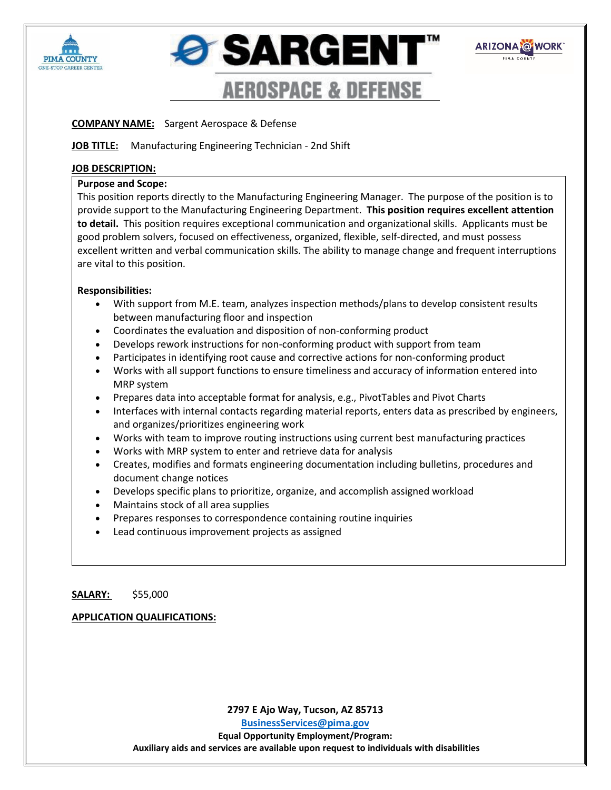





# **COMPANY NAME:** Sargent Aerospace & Defense

## **JOB TITLE:** Manufacturing Engineering Technician - 2nd Shift

### **JOB DESCRIPTION:**

### **Purpose and Scope:**

This position reports directly to the Manufacturing Engineering Manager. The purpose of the position is to provide support to the Manufacturing Engineering Department. **This position requires excellent attention to detail.** This position requires exceptional communication and organizational skills. Applicants must be good problem solvers, focused on effectiveness, organized, flexible, self-directed, and must possess excellent written and verbal communication skills. The ability to manage change and frequent interruptions are vital to this position.

## **Responsibilities:**

- With support from M.E. team, analyzes inspection methods/plans to develop consistent results between manufacturing floor and inspection
- Coordinates the evaluation and disposition of non-conforming product
- Develops rework instructions for non-conforming product with support from team
- Participates in identifying root cause and corrective actions for non-conforming product
- Works with all support functions to ensure timeliness and accuracy of information entered into MRP system
- Prepares data into acceptable format for analysis, e.g., PivotTables and Pivot Charts
- Interfaces with internal contacts regarding material reports, enters data as prescribed by engineers, and organizes/prioritizes engineering work
- Works with team to improve routing instructions using current best manufacturing practices
- Works with MRP system to enter and retrieve data for analysis
- Creates, modifies and formats engineering documentation including bulletins, procedures and document change notices
- Develops specific plans to prioritize, organize, and accomplish assigned workload
- Maintains stock of all area supplies
- Prepares responses to correspondence containing routine inquiries
- Lead continuous improvement projects as assigned

## **SALARY:** \$55,000

## **APPLICATION QUALIFICATIONS:**

**2797 E Ajo Way, Tucson, AZ 85713**

**[BusinessServices@pima.gov](mailto:BusinessServices@pima.gov) Equal Opportunity Employment/Program: Auxiliary aids and services are available upon request to individuals with disabilities**